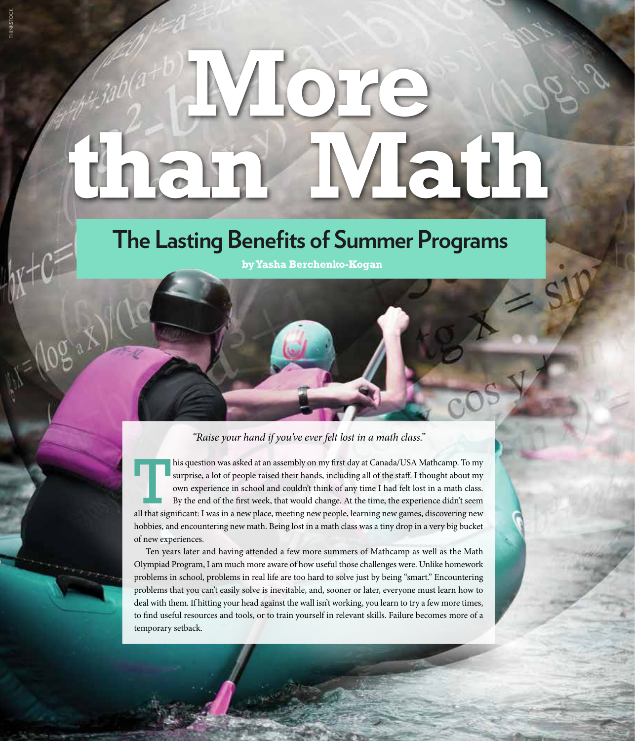## **More than Math**

THINKSTOCK

## **The Lasting Benefits of Summer Programs**

**by Yasha Berchenko-Kogan**

## *"Raise your hand if you've ever felt lost in a math class."*

his question was asked at an assembly on my first day at Canada/USA Mathcamp. To my surprise, a lot of people raised their hands, including all of the staff. I thought about my own experience in school and couldn't think of any time I had felt lost in a math class. By the end of the first week, that would change. At the time, the experience didn't seem all that significant: I was in a new place, meeting new people, learning new games, discovering new hobbies, and encountering new math. Being lost in a math class was a tiny drop in a very big bucket of new experiences.

Ten years later and having attended a few more summers of Mathcamp as well as the Math Olympiad Program, I am much more aware of how useful those challenges were. Unlike homework problems in school, problems in real life are too hard to solve just by being "smart." Encountering problems that you can't easily solve is inevitable, and, sooner or later, everyone must learn how to deal with them. If hitting your head against the wall isn't working, you learn to try a few more times, to find useful resources and tools, or to train yourself in relevant skills. Failure becomes more of a temporary setback.